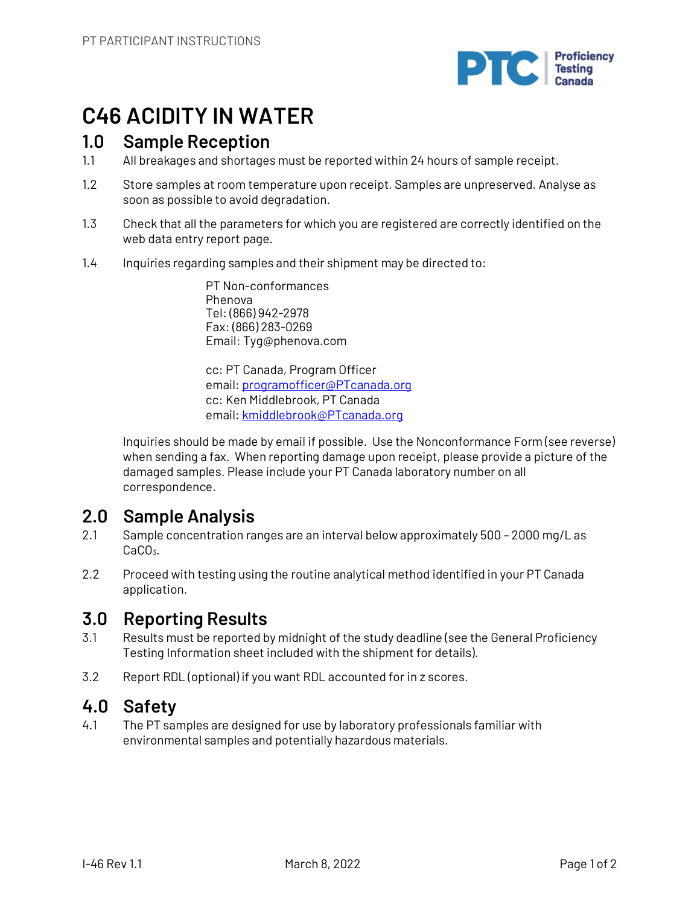

# **C46 ACIDITY IN WATER**

## **1.0 Sample Reception**

- 1.1 All breakages and shortages must be reported within 24 hours of sample receipt.
- 1.2 Store samples at room temperature upon receipt. Samples are unpreserved. Analyse as soon as possible to avoid degradation.
- 1.3 Check that all the parameters for which you are registered are correctly identified on the web data entry report page.
- 1.4 Inquiries regarding samples and their shipment may be directed to:

PT Non-conformances Phenova Tel: (866) 942-2978 Fax: (866) 283-0269 Email: Tyg@phenova.com

cc: PT Canada, Program Officer email: programofficer@PTcanada.org cc: Ken Middlebrook, PT Canada email: kmiddlebrook@PTcanada.org

Inquiries should be made by email if possible. Use the Nonconformance Form (see reverse) when sending a fax. When reporting damage upon receipt, please provide a picture of the damaged samples. Please include your PT Canada laboratory number on all correspondence.

# **2.0 Sample Analysis**

- 2.1 Sample concentration ranges are an interval below approximately 500 2000 mg/L as CaCO<sub>3</sub>.
- 2.2 Proceed with testing using the routine analytical method identified in your PT Canada application.

# **3.0 Reporting Results**

- 3.1 Results must be reported by midnight of the study deadline (see the General Proficiency Testing Information sheet included with the shipment for details).
- 3.2 Report RDL (optional) if you want RDL accounted for in z scores.

# **4.0 Safety**

4.1 The PT samples are designed for use by laboratory professionals familiar with environmental samples and potentially hazardous materials.